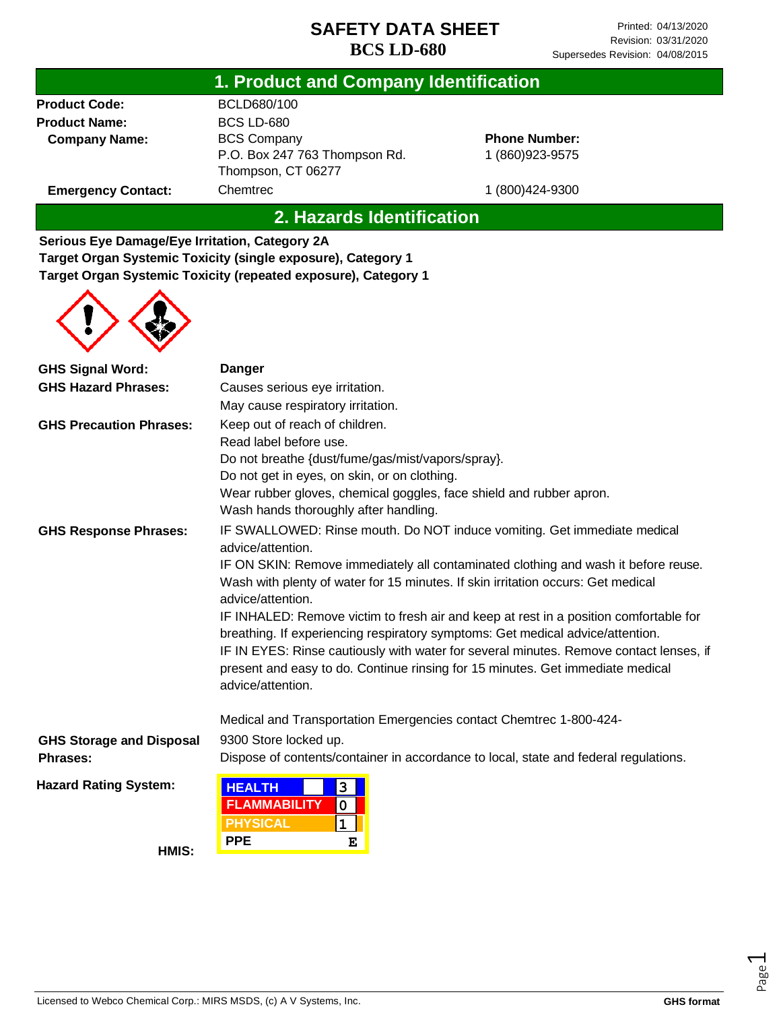### **1. Product and Company Identification**

**Product Code: Product Name: Company Name:** BCLD680/100 BCS LD-680 BCS Company P.O. Box 247 763 Thompson Rd. Thompson, CT 06277 **Chemtrec** 

**Phone Number:** 1 (860)923-9575

1 (800)424-9300

**Emergency Contact:**

### **2. Hazards Identification**

**Serious Eye Damage/Eye Irritation, Category 2A Target Organ Systemic Toxicity (single exposure), Category 1 Target Organ Systemic Toxicity (repeated exposure), Category 1**



| <b>GHS Signal Word:</b>         | Danger                                                                                                                                                                                                                                                            |  |  |
|---------------------------------|-------------------------------------------------------------------------------------------------------------------------------------------------------------------------------------------------------------------------------------------------------------------|--|--|
| <b>GHS Hazard Phrases:</b>      | Causes serious eye irritation.                                                                                                                                                                                                                                    |  |  |
|                                 | May cause respiratory irritation.                                                                                                                                                                                                                                 |  |  |
| <b>GHS Precaution Phrases:</b>  | Keep out of reach of children.                                                                                                                                                                                                                                    |  |  |
|                                 | Read label before use.                                                                                                                                                                                                                                            |  |  |
|                                 | Do not breathe {dust/fume/gas/mist/vapors/spray}.                                                                                                                                                                                                                 |  |  |
|                                 | Do not get in eyes, on skin, or on clothing.                                                                                                                                                                                                                      |  |  |
|                                 | Wear rubber gloves, chemical goggles, face shield and rubber apron.<br>Wash hands thoroughly after handling.                                                                                                                                                      |  |  |
| <b>GHS Response Phrases:</b>    | IF SWALLOWED: Rinse mouth. Do NOT induce vomiting. Get immediate medical<br>advice/attention.                                                                                                                                                                     |  |  |
|                                 | IF ON SKIN: Remove immediately all contaminated clothing and wash it before reuse.<br>Wash with plenty of water for 15 minutes. If skin irritation occurs: Get medical<br>advice/attention.                                                                       |  |  |
|                                 | IF INHALED: Remove victim to fresh air and keep at rest in a position comfortable for<br>breathing. If experiencing respiratory symptoms: Get medical advice/attention.<br>IF IN EYES: Rinse cautiously with water for several minutes. Remove contact lenses, if |  |  |
|                                 | present and easy to do. Continue rinsing for 15 minutes. Get immediate medical<br>advice/attention.                                                                                                                                                               |  |  |
|                                 | Medical and Transportation Emergencies contact Chemtrec 1-800-424-                                                                                                                                                                                                |  |  |
| <b>GHS Storage and Disposal</b> | 9300 Store locked up.                                                                                                                                                                                                                                             |  |  |
| Phrases:                        | Dispose of contents/container in accordance to local, state and federal regulations.                                                                                                                                                                              |  |  |
| <b>Hazard Rating System:</b>    | 3<br><b>HEALTH</b>                                                                                                                                                                                                                                                |  |  |
|                                 | <b>FLAMMABILITY</b><br>$\mathbf 0$                                                                                                                                                                                                                                |  |  |
|                                 | <b>PHYSICAL</b><br>$\mathbf{1}$                                                                                                                                                                                                                                   |  |  |
| LIMIC.                          | <b>PPE</b><br>Е                                                                                                                                                                                                                                                   |  |  |

**HMIS:**

Licensed to Webco Chemical Corp.: MIRS MSDS, (c) A V Systems, Inc. **GHS format GHS format** 

Page  $\overline{\phantom{0}}$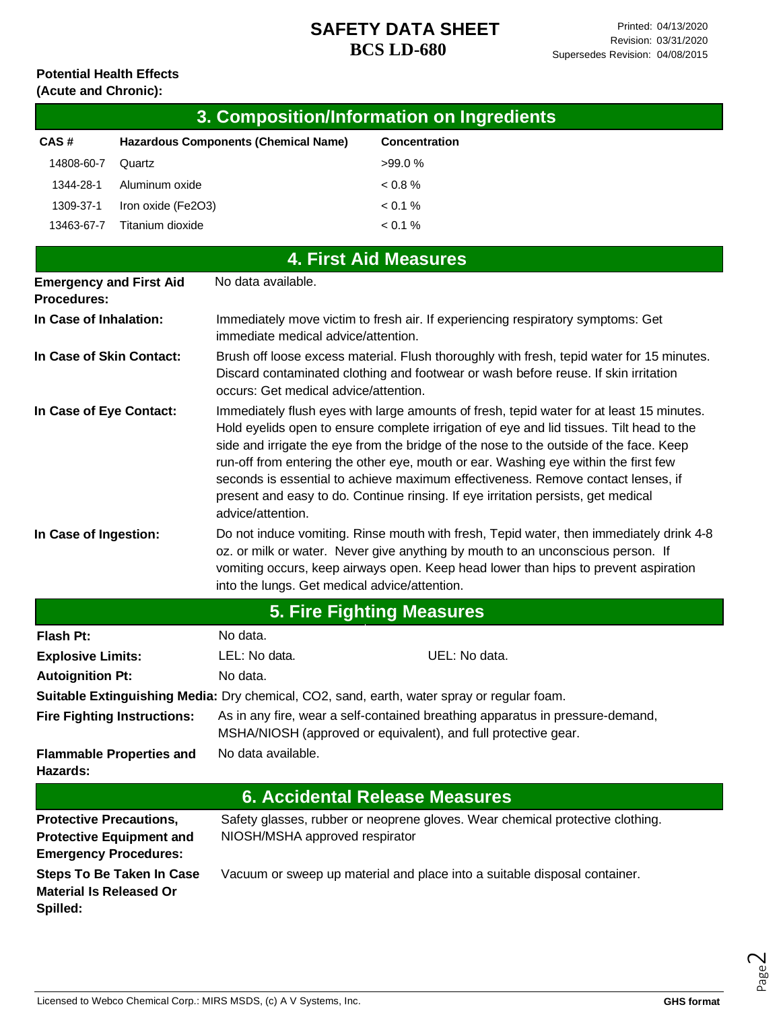#### **Potential Health Effects (Acute and Chronic):**

|                                                      |                    |                                             | 3. Composition/Information on Ingredients                                                                                                                                                                                                                                                                                                                                                                                                                                                                                                      |
|------------------------------------------------------|--------------------|---------------------------------------------|------------------------------------------------------------------------------------------------------------------------------------------------------------------------------------------------------------------------------------------------------------------------------------------------------------------------------------------------------------------------------------------------------------------------------------------------------------------------------------------------------------------------------------------------|
| CAS#                                                 |                    | <b>Hazardous Components (Chemical Name)</b> | Concentration                                                                                                                                                                                                                                                                                                                                                                                                                                                                                                                                  |
| 14808-60-7                                           | Quartz             |                                             | >99.0%                                                                                                                                                                                                                                                                                                                                                                                                                                                                                                                                         |
| 1344-28-1                                            | Aluminum oxide     |                                             | < 0.8 %                                                                                                                                                                                                                                                                                                                                                                                                                                                                                                                                        |
| 1309-37-1                                            | Iron oxide (Fe2O3) |                                             | < 0.1 %                                                                                                                                                                                                                                                                                                                                                                                                                                                                                                                                        |
| 13463-67-7                                           | Titanium dioxide   |                                             | < 0.1 %                                                                                                                                                                                                                                                                                                                                                                                                                                                                                                                                        |
|                                                      |                    |                                             | <b>4. First Aid Measures</b>                                                                                                                                                                                                                                                                                                                                                                                                                                                                                                                   |
| <b>Emergency and First Aid</b><br><b>Procedures:</b> |                    | No data available.                          |                                                                                                                                                                                                                                                                                                                                                                                                                                                                                                                                                |
| In Case of Inhalation:                               |                    | immediate medical advice/attention.         | Immediately move victim to fresh air. If experiencing respiratory symptoms: Get                                                                                                                                                                                                                                                                                                                                                                                                                                                                |
| In Case of Skin Contact:                             |                    | occurs: Get medical advice/attention.       | Brush off loose excess material. Flush thoroughly with fresh, tepid water for 15 minutes.<br>Discard contaminated clothing and footwear or wash before reuse. If skin irritation                                                                                                                                                                                                                                                                                                                                                               |
| In Case of Eye Contact:                              |                    |                                             | Immediately flush eyes with large amounts of fresh, tepid water for at least 15 minutes.<br>Hold eyelids open to ensure complete irrigation of eye and lid tissues. Tilt head to the<br>side and irrigate the eye from the bridge of the nose to the outside of the face. Keep<br>run-off from entering the other eye, mouth or ear. Washing eye within the first few<br>seconds is essential to achieve maximum effectiveness. Remove contact lenses, if<br>present and easy to do. Continue rinsing. If eye irritation persists, get medical |

**In Case of Ingestion:** Do not induce vomiting. Rinse mouth with fresh, Tepid water, then immediately drink 4-8 oz. or milk or water. Never give anything by mouth to an unconscious person. If vomiting occurs, keep airways open. Keep head lower than hips to prevent aspiration into the lungs. Get medical advice/attention.

advice/attention.

| <b>5. Fire Fighting Measures</b>                                                                  |                                                                                                                                                 |                                                                               |  |  |
|---------------------------------------------------------------------------------------------------|-------------------------------------------------------------------------------------------------------------------------------------------------|-------------------------------------------------------------------------------|--|--|
| Flash Pt:                                                                                         | No data.                                                                                                                                        |                                                                               |  |  |
| <b>Explosive Limits:</b>                                                                          | LEL: No data.                                                                                                                                   | UEL: No data.                                                                 |  |  |
| <b>Autoignition Pt:</b>                                                                           | No data.                                                                                                                                        |                                                                               |  |  |
| Suitable Extinguishing Media: Dry chemical, CO2, sand, earth, water spray or regular foam.        |                                                                                                                                                 |                                                                               |  |  |
| <b>Fire Fighting Instructions:</b>                                                                | As in any fire, wear a self-contained breathing apparatus in pressure-demand,<br>MSHA/NIOSH (approved or equivalent), and full protective gear. |                                                                               |  |  |
| <b>Flammable Properties and</b><br>Hazards:                                                       | No data available.                                                                                                                              |                                                                               |  |  |
| <b>6. Accidental Release Measures</b>                                                             |                                                                                                                                                 |                                                                               |  |  |
| <b>Protective Precautions,</b><br><b>Protective Equipment and</b><br><b>Emergency Procedures:</b> | NIOSH/MSHA approved respirator                                                                                                                  | Safety glasses, rubber or neoprene gloves. Wear chemical protective clothing. |  |  |
| <b>Steps To Be Taken In Case</b><br><b>Material Is Released Or</b><br>Spilled:                    |                                                                                                                                                 | Vacuum or sweep up material and place into a suitable disposal container.     |  |  |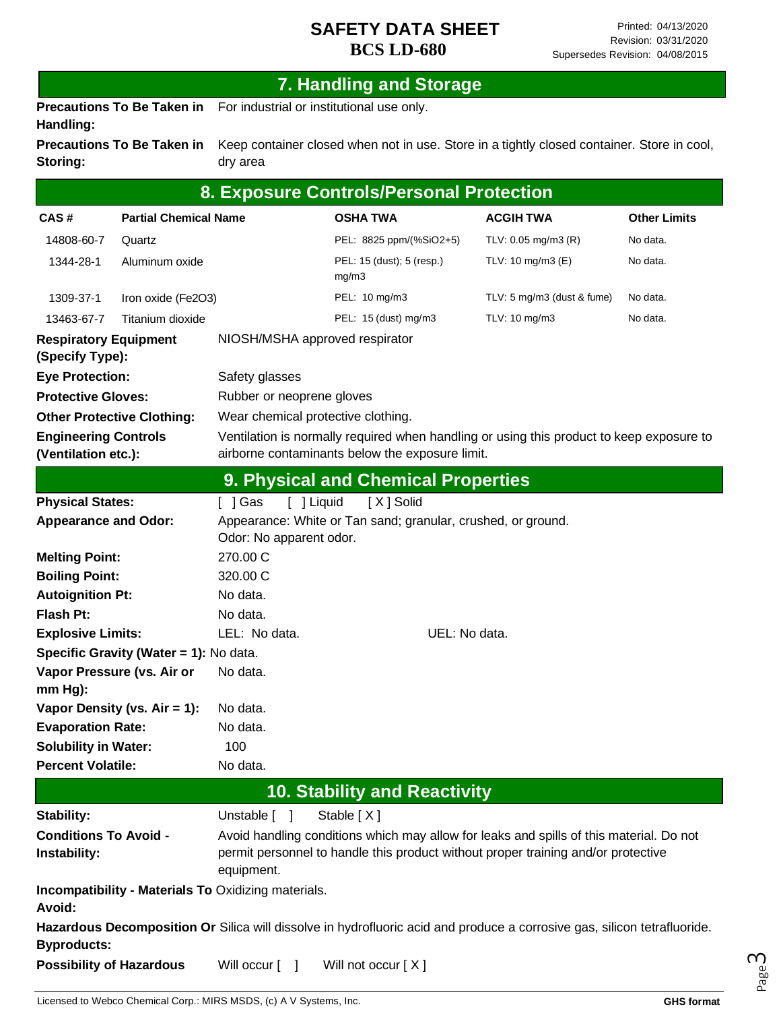# **7. Handling and Storage**

**Precautions To Be Taken in**  For industrial or institutional use only. **Handling:**

**Precautions To Be Taken in Storing:** Keep container closed when not in use. Store in a tightly closed container. Store in cool, dry area

| 8. Exposure Controls/Personal Protection                                          |                                   |                                                                                                                                                                                            |                                     |                           |                                                                                                                          |                     |
|-----------------------------------------------------------------------------------|-----------------------------------|--------------------------------------------------------------------------------------------------------------------------------------------------------------------------------------------|-------------------------------------|---------------------------|--------------------------------------------------------------------------------------------------------------------------|---------------------|
| CAS#                                                                              | <b>Partial Chemical Name</b>      |                                                                                                                                                                                            | <b>OSHA TWA</b>                     |                           | <b>ACGIH TWA</b>                                                                                                         | <b>Other Limits</b> |
| 14808-60-7                                                                        | Quartz                            |                                                                                                                                                                                            | PEL: 8825 ppm/(%SiO2+5)             |                           | TLV: 0.05 mg/m3 (R)                                                                                                      | No data.            |
| 1344-28-1                                                                         | Aluminum oxide                    |                                                                                                                                                                                            |                                     | PEL: 15 (dust); 5 (resp.) | TLV: 10 mg/m3 (E)                                                                                                        | No data.            |
| 1309-37-1                                                                         | Iron oxide (Fe2O3)                |                                                                                                                                                                                            | PEL: 10 mg/m3                       |                           | TLV: 5 mg/m3 (dust & fume)                                                                                               | No data.            |
| 13463-67-7                                                                        | Titanium dioxide                  |                                                                                                                                                                                            | PEL: 15 (dust) mg/m3                |                           | TLV: 10 mg/m3                                                                                                            | No data.            |
| <b>Respiratory Equipment</b><br>NIOSH/MSHA approved respirator<br>(Specify Type): |                                   |                                                                                                                                                                                            |                                     |                           |                                                                                                                          |                     |
| <b>Eye Protection:</b>                                                            |                                   | Safety glasses                                                                                                                                                                             |                                     |                           |                                                                                                                          |                     |
| <b>Protective Gloves:</b>                                                         |                                   | Rubber or neoprene gloves                                                                                                                                                                  |                                     |                           |                                                                                                                          |                     |
|                                                                                   | <b>Other Protective Clothing:</b> | Wear chemical protective clothing.                                                                                                                                                         |                                     |                           |                                                                                                                          |                     |
| <b>Engineering Controls</b><br>(Ventilation etc.):                                |                                   | airborne contaminants below the exposure limit.                                                                                                                                            |                                     |                           | Ventilation is normally required when handling or using this product to keep exposure to                                 |                     |
|                                                                                   |                                   | 9. Physical and Chemical Properties                                                                                                                                                        |                                     |                           |                                                                                                                          |                     |
| <b>Physical States:</b>                                                           |                                   | [ ] Liquid<br>[ ] Gas                                                                                                                                                                      | [X] Solid                           |                           |                                                                                                                          |                     |
| <b>Appearance and Odor:</b>                                                       |                                   | Appearance: White or Tan sand; granular, crushed, or ground.                                                                                                                               |                                     |                           |                                                                                                                          |                     |
| <b>Melting Point:</b>                                                             |                                   | Odor: No apparent odor.<br>270.00 C                                                                                                                                                        |                                     |                           |                                                                                                                          |                     |
| <b>Boiling Point:</b>                                                             |                                   | 320.00 C                                                                                                                                                                                   |                                     |                           |                                                                                                                          |                     |
| <b>Autoignition Pt:</b>                                                           |                                   | No data.                                                                                                                                                                                   |                                     |                           |                                                                                                                          |                     |
| <b>Flash Pt:</b>                                                                  |                                   | No data.                                                                                                                                                                                   |                                     |                           |                                                                                                                          |                     |
| LEL: No data.<br><b>Explosive Limits:</b>                                         |                                   |                                                                                                                                                                                            | UEL: No data.                       |                           |                                                                                                                          |                     |
| Specific Gravity (Water = 1): No data.                                            |                                   |                                                                                                                                                                                            |                                     |                           |                                                                                                                          |                     |
| mm Hg):                                                                           | Vapor Pressure (vs. Air or        | No data.                                                                                                                                                                                   |                                     |                           |                                                                                                                          |                     |
|                                                                                   | Vapor Density (vs. $Air = 1$ ):   | No data.                                                                                                                                                                                   |                                     |                           |                                                                                                                          |                     |
| <b>Evaporation Rate:</b>                                                          |                                   | No data.                                                                                                                                                                                   |                                     |                           |                                                                                                                          |                     |
| <b>Solubility in Water:</b>                                                       |                                   | 100                                                                                                                                                                                        |                                     |                           |                                                                                                                          |                     |
| <b>Percent Volatile:</b>                                                          |                                   | No data.                                                                                                                                                                                   |                                     |                           |                                                                                                                          |                     |
|                                                                                   |                                   |                                                                                                                                                                                            | <b>10. Stability and Reactivity</b> |                           |                                                                                                                          |                     |
| <b>Stability:</b>                                                                 |                                   | Unstable [ ]                                                                                                                                                                               | Stable [X]                          |                           |                                                                                                                          |                     |
| <b>Conditions To Avoid -</b><br>Instability:                                      |                                   | Avoid handling conditions which may allow for leaks and spills of this material. Do not<br>permit personnel to handle this product without proper training and/or protective<br>equipment. |                                     |                           |                                                                                                                          |                     |
| Avoid:                                                                            |                                   | <b>Incompatibility - Materials To Oxidizing materials.</b>                                                                                                                                 |                                     |                           |                                                                                                                          |                     |
| <b>Byproducts:</b>                                                                |                                   |                                                                                                                                                                                            |                                     |                           | Hazardous Decomposition Or Silica will dissolve in hydrofluoric acid and produce a corrosive gas, silicon tetrafluoride. |                     |
| <b>Possibility of Hazardous</b><br>Will occur [<br>$\mathbf{I}$                   |                                   |                                                                                                                                                                                            | Will not occur [X]                  |                           |                                                                                                                          |                     |

Page ന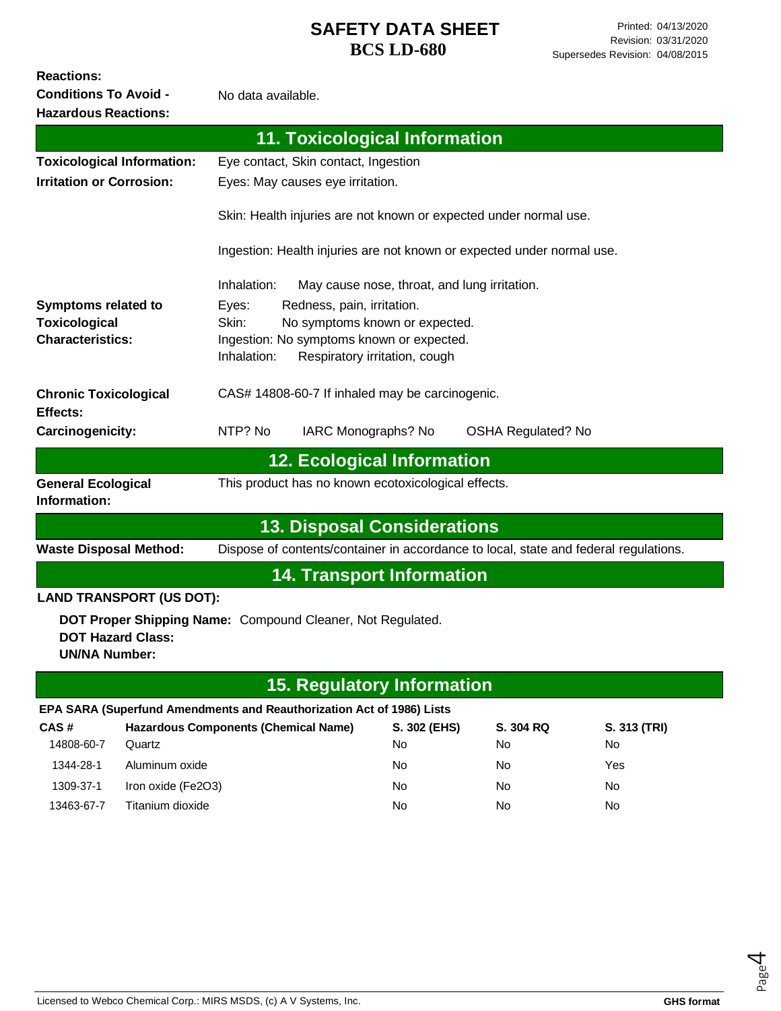**Reactions:** 

**Conditions To Avoid -**

No data available.

| <b>Hazardous Reactions:</b>                      |                                             |                                                 |                                                                       |                               |                                                                        |                                                                                      |
|--------------------------------------------------|---------------------------------------------|-------------------------------------------------|-----------------------------------------------------------------------|-------------------------------|------------------------------------------------------------------------|--------------------------------------------------------------------------------------|
|                                                  |                                             |                                                 | <b>11. Toxicological Information</b>                                  |                               |                                                                        |                                                                                      |
| <b>Toxicological Information:</b>                |                                             |                                                 | Eye contact, Skin contact, Ingestion                                  |                               |                                                                        |                                                                                      |
| <b>Irritation or Corrosion:</b>                  |                                             |                                                 | Eyes: May causes eye irritation.                                      |                               |                                                                        |                                                                                      |
|                                                  |                                             |                                                 |                                                                       |                               | Skin: Health injuries are not known or expected under normal use.      |                                                                                      |
|                                                  |                                             |                                                 |                                                                       |                               | Ingestion: Health injuries are not known or expected under normal use. |                                                                                      |
|                                                  |                                             | Inhalation:                                     |                                                                       |                               | May cause nose, throat, and lung irritation.                           |                                                                                      |
| Symptoms related to                              |                                             | Eyes:                                           | Redness, pain, irritation.                                            |                               |                                                                        |                                                                                      |
| <b>Toxicological</b>                             |                                             | Skin:                                           | No symptoms known or expected.                                        |                               |                                                                        |                                                                                      |
| <b>Characteristics:</b>                          |                                             |                                                 | Ingestion: No symptoms known or expected.                             |                               |                                                                        |                                                                                      |
|                                                  |                                             | Inhalation:                                     |                                                                       | Respiratory irritation, cough |                                                                        |                                                                                      |
| <b>Chronic Toxicological</b><br>Effects:         |                                             | CAS# 14808-60-7 If inhaled may be carcinogenic. |                                                                       |                               |                                                                        |                                                                                      |
| Carcinogenicity:                                 |                                             | NTP? No                                         | IARC Monographs? No                                                   |                               | <b>OSHA Regulated? No</b>                                              |                                                                                      |
|                                                  |                                             |                                                 | <b>12. Ecological Information</b>                                     |                               |                                                                        |                                                                                      |
| <b>General Ecological</b><br>Information:        |                                             |                                                 | This product has no known ecotoxicological effects.                   |                               |                                                                        |                                                                                      |
|                                                  |                                             |                                                 | <b>13. Disposal Considerations</b>                                    |                               |                                                                        |                                                                                      |
| <b>Waste Disposal Method:</b>                    |                                             |                                                 |                                                                       |                               |                                                                        | Dispose of contents/container in accordance to local, state and federal regulations. |
|                                                  |                                             |                                                 | <b>14. Transport Information</b>                                      |                               |                                                                        |                                                                                      |
|                                                  | <b>LAND TRANSPORT (US DOT):</b>             |                                                 |                                                                       |                               |                                                                        |                                                                                      |
| <b>DOT Hazard Class:</b><br><b>UN/NA Number:</b> |                                             |                                                 | DOT Proper Shipping Name: Compound Cleaner, Not Regulated.            |                               |                                                                        |                                                                                      |
|                                                  |                                             |                                                 | <b>15. Regulatory Information</b>                                     |                               |                                                                        |                                                                                      |
|                                                  |                                             |                                                 | EPA SARA (Superfund Amendments and Reauthorization Act of 1986) Lists |                               |                                                                        |                                                                                      |
| CAS#                                             | <b>Hazardous Components (Chemical Name)</b> |                                                 |                                                                       | S. 302 (EHS)                  | S. 304 RQ                                                              | S. 313 (TRI)                                                                         |
| 14808-60-7                                       | Quartz                                      |                                                 |                                                                       | No                            | No                                                                     | No                                                                                   |
| 1344-28-1                                        | Aluminum oxide                              |                                                 |                                                                       | No                            | No.                                                                    | Yes                                                                                  |

1309-37-1 Iron oxide (Fe2O3) No No No 13463-67-7 Titanium dioxide No No No